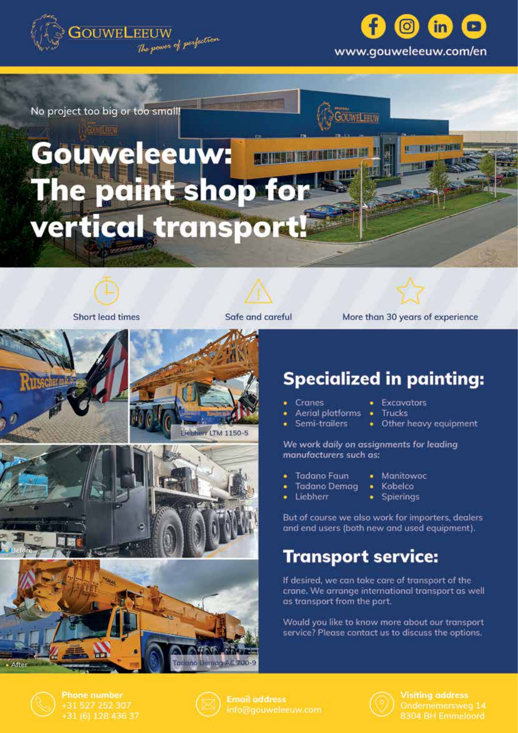



**OUWELFEUW** 

No project too big or too small!

花林縣

# eeuw: Ve paint shop for vertical transport!



**Short lead times** 



Safe and careful



More than 30 years of experience



## **Specialized in painting:**

**Excavators** 

Trucks

- Cranes
- Aerial platforms
- Semi-trailers • Other heavy equipment

We work daily on assignments for leading

- manufacturers such as: **Tadano Faun** ٠
	-
- Manitowoc Kobelco
- **Tadano Demaa** · Liebherr • Spierings
	-

But of course we also work for importers, dealers and end users (both new and used equipment).

### **Transport service:**

If desired, we can take care of transport of the crane. We arrange international transport as well as transport from the port.

Would you like to know more about our transport service? Please contact us to discuss the options.



**Phone number** +31 527 252 307 +31 (6) 128 436 37



Tadano DemagrAC 700-9

**Email address** info@gouweleeuw.com



**Visiting address** 8304 BH Emmeloord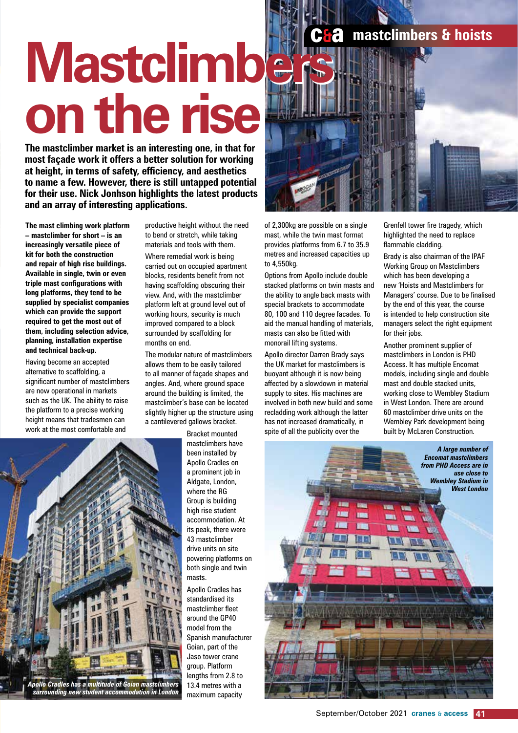# **Mastclimbers Mastclimbers on the rise on the rise**

**The mastclimber market is an interesting one, in that for most façade work it offers a better solution for working at height, in terms of safety, efficiency, and aesthetics to name a few. However, there is still untapped potential for their use. Nick Jonhson highlights the latest products and an array of interesting applications.**

**The mast climbing work platform – mastclimber for short – is an increasingly versatile piece of kit for both the construction and repair of high rise buildings. Available in single, twin or even triple mast configurations with long platforms, they tend to be supplied by specialist companies which can provide the support required to get the most out of them, including selection advice, planning, installation expertise and technical back-up.**

Having become an accepted alternative to scaffolding, a significant number of mastclimbers are now operational in markets such as the UK. The ability to raise the platform to a precise working height means that tradesmen can work at the most comfortable and

*Apollo Cradles has a multitude of Goian mastclimbers surrounding new student accommodation in London*

productive height without the need to bend or stretch, while taking materials and tools with them. Where remedial work is being carried out on occupied apartment blocks, residents benefit from not having scaffolding obscuring their view. And, with the mastclimber platform left at ground level out of working hours, security is much improved compared to a block surrounded by scaffolding for months on end.

The modular nature of mastclimbers allows them to be easily tailored to all manner of façade shapes and angles. And, where ground space around the building is limited, the mastclimber's base can be located slightly higher up the structure using a cantilevered gallows bracket.

Bracket mounted mastclimbers have been installed by Apollo Cradles on a prominent job in Aldgate, London, where the RG Group is building high rise student accommodation. At its peak, there were 43 mastclimber drive units on site powering platforms on both single and twin masts.

Apollo Cradles has standardised its mastclimber fleet around the GP40 model from the Spanish manufacturer Goian, part of the Jaso tower crane group. Platform lengths from 2.8 to 13.4 metres with a maximum capacity



of 2,300kg are possible on a single mast, while the twin mast format provides platforms from 6.7 to 35.9 metres and increased capacities up to 4,550kg.

Options from Apollo include double stacked platforms on twin masts and the ability to angle back masts with special brackets to accommodate 80, 100 and 110 degree facades. To aid the manual handling of materials, masts can also be fitted with monorail lifting systems.

Apollo director Darren Brady says the UK market for mastclimbers is buoyant although it is now being affected by a slowdown in material supply to sites. His machines are involved in both new build and some recladding work although the latter has not increased dramatically, in spite of all the publicity over the

Grenfell tower fire tragedy, which highlighted the need to replace flammable cladding.

Brady is also chairman of the IPAF Working Group on Mastclimbers which has been developing a new 'Hoists and Mastclimbers for Managers' course. Due to be finalised by the end of this year, the course is intended to help construction site managers select the right equipment for their jobs.

Another prominent supplier of mastclimbers in London is PHD Access. It has multiple Encomat models, including single and double mast and double stacked units, working close to Wembley Stadium in West London. There are around 60 mastclimber drive units on the Wembley Park development being built by McLaren Construction.

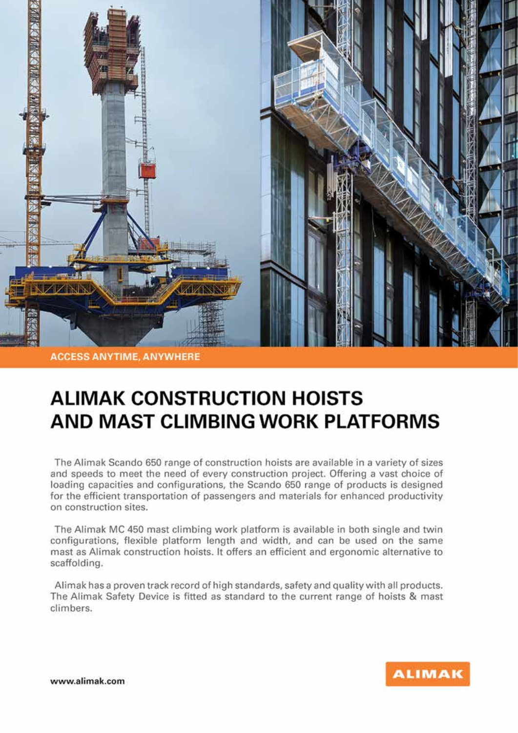

**ACCESS ANYTIME, ANYWHERE** 

### **ALIMAK CONSTRUCTION HOISTS AND MAST CLIMBING WORK PLATFORMS**

The Alimak Scando 650 range of construction hoists are available in a variety of sizes and speeds to meet the need of every construction project. Offering a vast choice of loading capacities and configurations, the Scando 650 range of products is designed for the efficient transportation of passengers and materials for enhanced productivity on construction sites.

The Alimak MC 450 mast climbing work platform is available in both single and twin configurations, flexible platform length and width, and can be used on the same mast as Alimak construction hoists. It offers an efficient and ergonomic alternative to scaffolding.

Alimak has a proven track record of high standards, safety and quality with all products. The Alimak Safety Device is fitted as standard to the current range of hoists & mast climbers.

www.alimak.com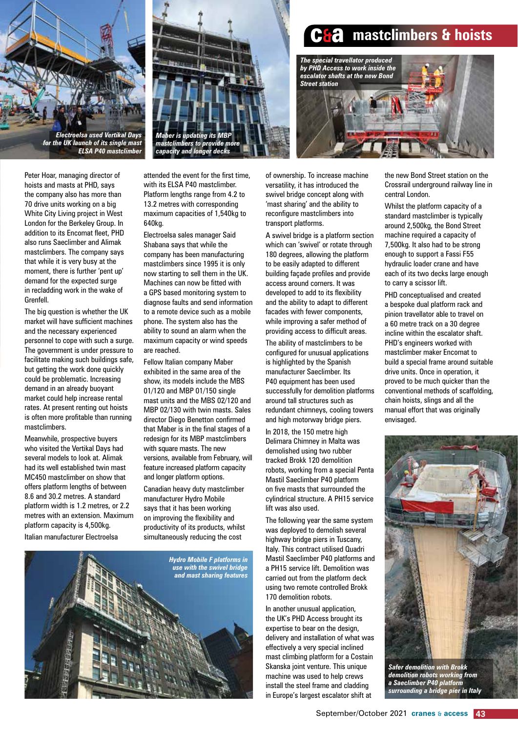

*Electroelsa used Vertikal Days for the UK launch of its single mast ELSA P40 mastclimber*

Peter Hoar, managing director of hoists and masts at PHD, says the company also has more than 70 drive units working on a big White City Living project in West London for the Berkeley Group. In addition to its Encomat fleet, PHD also runs Saeclimber and Alimak mastclimbers. The company says that while it is very busy at the moment, there is further 'pent up' demand for the expected surge in recladding work in the wake of Grenfell.

The big question is whether the UK market will have sufficient machines and the necessary experienced personnel to cope with such a surge. The government is under pressure to facilitate making such buildings safe, but getting the work done quickly could be problematic. Increasing demand in an already buoyant market could help increase rental rates. At present renting out hoists is often more profitable than running mastclimbers.

Meanwhile, prospective buyers who visited the Vertikal Days had several models to look at. Alimak had its well established twin mast MC450 mastclimber on show that offers platform lengths of between 8.6 and 30.2 metres. A standard platform width is 1.2 metres, or 2.2 metres with an extension. Maximum platform capacity is 4,500kg. Italian manufacturer Electroelsa



attended the event for the first time, with its ELSA P40 mastclimber. Platform lengths range from 4.2 to 13.2 metres with corresponding maximum capacities of 1,540kg to 640kg.

Electroelsa sales manager Said Shabana says that while the company has been manufacturing mastclimbers since 1995 it is only now starting to sell them in the UK. Machines can now be fitted with a GPS based monitoring system to diagnose faults and send information to a remote device such as a mobile phone. The system also has the ability to sound an alarm when the maximum capacity or wind speeds are reached.

Fellow Italian company Maber exhibited in the same area of the show, its models include the MBS 01/120 and MBP 01/150 single mast units and the MBS 02/120 and MBP 02/130 with twin masts. Sales director Diego Benetton confirmed that Maber is in the final stages of a redesign for its MBP mastclimbers with square masts. The new versions, available from February, will feature increased platform capacity and longer platform options.

Canadian heavy duty mastclimber manufacturer Hydro Mobile says that it has been working on improving the flexibility and productivity of its products, whilst simultaneously reducing the cost







of ownership. To increase machine versatility, it has introduced the swivel bridge concept along with 'mast sharing' and the ability to reconfigure mastclimbers into transport platforms.

A swivel bridge is a platform section which can 'swivel' or rotate through 180 degrees, allowing the platform to be easily adapted to different building façade profiles and provide access around corners. It was developed to add to its flexibility and the ability to adapt to different facades with fewer components, while improving a safer method of providing access to difficult areas.

The ability of mastclimbers to be configured for unusual applications is highlighted by the Spanish manufacturer Saeclimber. Its P40 equipment has been used successfully for demolition platforms around tall structures such as redundant chimneys, cooling towers and high motorway bridge piers.

In 2018, the 150 metre high Delimara Chimney in Malta was demolished using two rubber tracked Brokk 120 demolition robots, working from a special Penta Mastil Saeclimber P40 platform on five masts that surrounded the cylindrical structure. A PH15 service lift was also used.

The following year the same system was deployed to demolish several highway bridge piers in Tuscany, Italy. This contract utilised Quadri Mastil Saeclimber P40 platforms and a PH15 service lift. Demolition was carried out from the platform deck using two remote controlled Brokk 170 demolition robots.

In another unusual application, the UK's PHD Access brought its expertise to bear on the design, delivery and installation of what was effectively a very special inclined mast climbing platform for a Costain Skanska joint venture. This unique machine was used to help crews install the steel frame and cladding in Europe's largest escalator shift at

the new Bond Street station on the Crossrail underground railway line in central London.

Whilst the platform capacity of a standard mastclimber is typically around 2,500kg, the Bond Street machine required a capacity of 7,500kg. It also had to be strong enough to support a Fassi F55 hydraulic loader crane and have each of its two decks large enough to carry a scissor lift.

PHD conceptualised and created a bespoke dual platform rack and pinion travellator able to travel on a 60 metre track on a 30 degree incline within the escalator shaft. PHD's engineers worked with mastclimber maker Encomat to build a special frame around suitable drive units. Once in operation, it proved to be much quicker than the conventional methods of scaffolding, chain hoists, slings and all the manual effort that was originally envisaged.



*Safer demolition with Brokk demolition robots working from a Saeclimber P40 platform surrounding a bridge pier in Italy*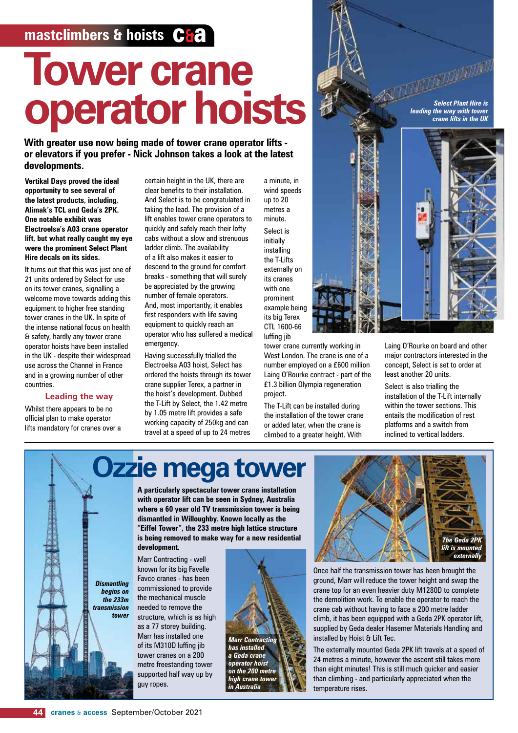### **mastclimbers & hoists C&a**

# **Tower crane operator hoists**

**With greater use now being made of tower crane operator lifts or elevators if you prefer - Nick Johnson takes a look at the latest developments.** 

**Vertikal Days proved the ideal opportunity to see several of the latest products, including, Alimak's TCL and Geda's 2PK. One notable exhibit was Electroelsa's A03 crane operator lift, but what really caught my eye were the prominent Select Plant Hire decals on its sides.** 

It turns out that this was just one of 21 units ordered by Select for use on its tower cranes, signalling a welcome move towards adding this equipment to higher free standing tower cranes in the UK. In spite of the intense national focus on health & safety, hardly any tower crane operator hoists have been installed in the UK - despite their widespread use across the Channel in France and in a growing number of other countries.

### **Leading the way**

Whilst there appears to be no official plan to make operator lifts mandatory for cranes over a certain height in the UK, there are clear benefits to their installation. And Select is to be congratulated in taking the lead. The provision of a lift enables tower crane operators to quickly and safely reach their lofty cabs without a slow and strenuous ladder climb. The availability of a lift also makes it easier to descend to the ground for comfort breaks - something that will surely be appreciated by the growing number of female operators. And, most importantly, it enables first responders with life saving equipment to quickly reach an operator who has suffered a medical emergency.

Having successfully trialled the Electroelsa A03 hoist, Select has ordered the hoists through its tower crane supplier Terex, a partner in the hoist's development. Dubbed the T-Lift by Select, the 1.42 metre by 1.05 metre lift provides a safe working capacity of 250kg and can travel at a speed of up to 24 metres

a minute, in wind speeds up to 20 metres a minute. Select is initially installing the T-Lifts externally on its cranes with one prominent example being its big Terex CTL 1600-66 luffing jib

tower crane currently working in West London. The crane is one of a number employed on a £600 million Laing O'Rourke contract - part of the £1.3 billion Olympia regeneration project.

The T-Lift can be installed during the installation of the tower crane or added later, when the crane is climbed to a greater height. With

*Select Plant Hire is leading the way with tower crane lifts in the UK*



Laing O'Rourke on board and other major contractors interested in the concept, Select is set to order at least another 20 units.

Select is also trialling the installation of the T-Lift internally within the tower sections. This entails the modification of rest platforms and a switch from inclined to vertical ladders.

# **Ozzie mega tower**

**A particularly spectacular tower crane installation with operator lift can be seen in Sydney, Australia where a 60 year old TV transmission tower is being dismantled in Willoughby. Known locally as the "Eiffel Tower", the 233 metre high lattice structure is being removed to make way for a new residential development.** 

Marr Contracting - well known for its big Favelle Favco cranes - has been commissioned to provide the mechanical muscle needed to remove the structure, which is as high as a 77 storey building. Marr has installed one of its M310D luffing jib tower cranes on a 200 metre freestanding tower supported half way up by guy ropes.





Once half the transmission tower has been brought the ground, Marr will reduce the tower height and swap the crane top for an even heavier duty M1280D to complete the demolition work. To enable the operator to reach the crane cab without having to face a 200 metre ladder climb, it has been equipped with a Geda 2PK operator lift, supplied by Geda dealer Hasemer Materials Handling and installed by Hoist & Lift Tec.

The externally mounted Geda 2PK lift travels at a speed of 24 metres a minute, however the ascent still takes more than eight minutes! This is still much quicker and easier than climbing - and particularly appreciated when the temperature rises.

*Dismantling begins on the 233m transmission tower*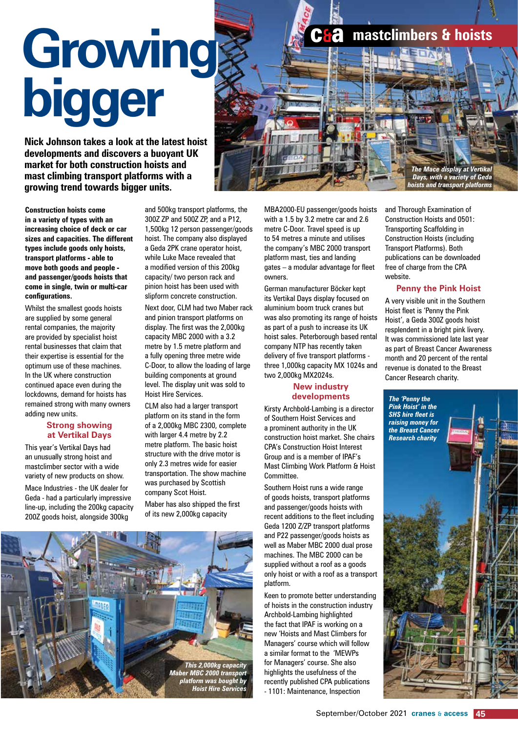# **Growing bigger Growing bigger**

**Nick Johnson takes a look at the latest hoist developments and discovers a buoyant UK market for both construction hoists and mast climbing transport platforms with a growing trend towards bigger units.**



**Construction hoists come in a variety of types with an increasing choice of deck or car sizes and capacities. The different types include goods only hoists, transport platforms - able to move both goods and people and passenger/goods hoists that come in single, twin or multi-car configurations.**

Whilst the smallest goods hoists are supplied by some general rental companies, the majority are provided by specialist hoist rental businesses that claim that their expertise is essential for the optimum use of these machines. In the UK where construction continued apace even during the lockdowns, demand for hoists has remained strong with many owners adding new units.

#### **Strong showing at Vertikal Days**

This year's Vertikal Days had an unusually strong hoist and mastclimber sector with a wide variety of new products on show. Mace Industries - the UK dealer for Geda - had a particularly impressive line-up, including the 200kg capacity 200Z goods hoist, alongside 300kg

and 500kg transport platforms, the 300Z ZP and 500Z ZP, and a P12, 1,500kg 12 person passenger/goods hoist. The company also displayed a Geda 2PK crane operator hoist, while Luke Mace revealed that a modified version of this 200kg capacity/ two person rack and pinion hoist has been used with slipform concrete construction.

Next door, CLM had two Maber rack and pinion transport platforms on display. The first was the 2,000kg capacity MBC 2000 with a 3.2 metre by 1.5 metre platform and a fully opening three metre wide C-Door, to allow the loading of large building components at ground level. The display unit was sold to Hoist Hire Services.

CLM also had a larger transport platform on its stand in the form of a 2,000kg MBC 2300, complete with larger 4.4 metre by 2.2 metre platform. The basic hoist structure with the drive motor is only 2.3 metres wide for easier transportation. The show machine was purchased by Scottish company Scot Hoist.

Maber has also shipped the first of its new 2,000kg capacity



MBA2000-EU passenger/goods hoists with a 1.5 by 3.2 metre car and 2.6 metre C-Door. Travel speed is up to 54 metres a minute and utilises the company's MBC 2000 transport platform mast, ties and landing gates – a modular advantage for fleet owners.

German manufacturer Böcker kept its Vertikal Days display focused on aluminium boom truck cranes but was also promoting its range of hoists as part of a push to increase its UK hoist sales. Peterborough based rental company NTP has recently taken delivery of five transport platforms three 1,000kg capacity MX 1024s and two 2,000kg MX2024s.

#### **New industry developments**

Kirsty Archbold-Lambing is a director of Southern Hoist Services and a prominent authority in the UK construction hoist market. She chairs CPA's Construction Hoist Interest Group and is a member of IPAF's Mast Climbing Work Platform & Hoist Committee.

Southern Hoist runs a wide range of goods hoists, transport platforms and passenger/goods hoists with recent additions to the fleet including Geda 1200 Z/ZP transport platforms and P22 passenger/goods hoists as well as Maber MBC 2000 dual prose machines. The MBC 2000 can be supplied without a roof as a goods only hoist or with a roof as a transport platform.

Keen to promote better understanding of hoists in the construction industry Archbold-Lambing highlighted the fact that IPAF is working on a new 'Hoists and Mast Climbers for Managers' course which will follow a similar format to the 'MEWPs for Managers' course. She also highlights the usefulness of the recently published CPA publications - 1101: Maintenance, Inspection

and Thorough Examination of Construction Hoists and 0501: Transporting Scaffolding in

Construction Hoists (including Transport Platforms). Both publications can be downloaded free of charge from the CPA website.

**mastclimbers & hoists** 

### **Penny the Pink Hoist**

A very visible unit in the Southern Hoist fleet is 'Penny the Pink Hoist', a Geda 300Z goods hoist resplendent in a bright pink livery. It was commissioned late last year as part of Breast Cancer Awareness month and 20 percent of the rental revenue is donated to the Breast Cancer Research charity.

*The 'Penny the Pink Hoist' in the SHS hire fleet is raising money for the Breast Cancer Research charity*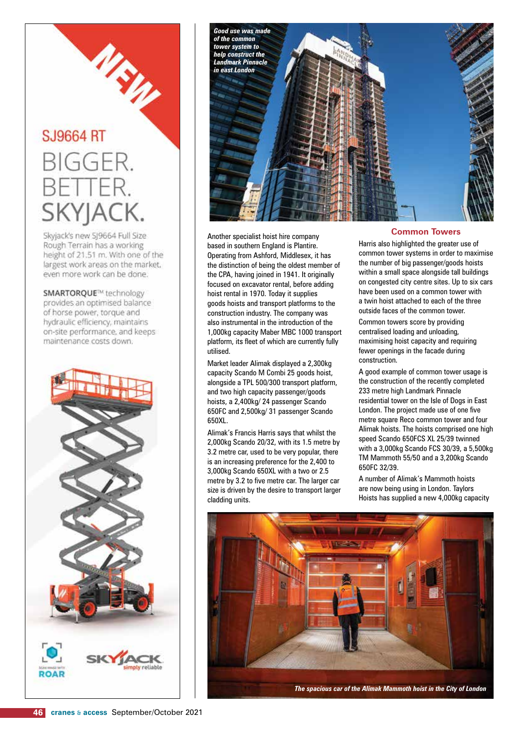# **SJ9664 RT**

## **BIGGER.** FTTER. skyja(

URU

Skyjack's new SJ9664 Full Size Rough Terrain has a working height of 21.51 m. With one of the largest work areas on the market, even more work can be done.

SMARTOROUE™ technology provides an optimised balance of horse power, torque and hydraulic efficiency, maintains on-site performance, and keeps maintenance costs down.





Another specialist hoist hire company based in southern England is Plantire. Operating from Ashford, Middlesex, it has the distinction of being the oldest member of the CPA, having joined in 1941. It originally focused on excavator rental, before adding hoist rental in 1970. Today it supplies goods hoists and transport platforms to the construction industry. The company was also instrumental in the introduction of the 1,000kg capacity Maber MBC 1000 transport platform, its fleet of which are currently fully utilised.

Market leader Alimak displayed a 2,300kg capacity Scando M Combi 25 goods hoist, alongside a TPL 500/300 transport platform, and two high capacity passenger/goods hoists, a 2,400kg/ 24 passenger Scando 650FC and 2,500kg/ 31 passenger Scando 650XL.

Alimak's Francis Harris says that whilst the 2,000kg Scando 20/32, with its 1.5 metre by 3.2 metre car, used to be very popular, there is an increasing preference for the 2,400 to 3,000kg Scando 650XL with a two or 2.5 metre by 3.2 to five metre car. The larger car size is driven by the desire to transport larger cladding units.

#### **Common Towers**

Harris also highlighted the greater use of common tower systems in order to maximise the number of big passenger/goods hoists within a small space alongside tall buildings on congested city centre sites. Up to six cars have been used on a common tower with a twin hoist attached to each of the three outside faces of the common tower.

Common towers score by providing centralised loading and unloading, maximising hoist capacity and requiring fewer openings in the facade during construction.

A good example of common tower usage is the construction of the recently completed 233 metre high Landmark Pinnacle residential tower on the Isle of Dogs in East London. The project made use of one five metre square Reco common tower and four Alimak hoists. The hoists comprised one high speed Scando 650FCS XL 25/39 twinned with a 3,000kg Scando FCS 30/39, a 5,500kg TM Mammoth 55/50 and a 3,200kg Scando 650FC 32/39.

A number of Alimak's Mammoth hoists are now being using in London. Taylors Hoists has supplied a new 4,000kg capacity



*The spacious car of the Alimak Mammoth hoist in the City of London*